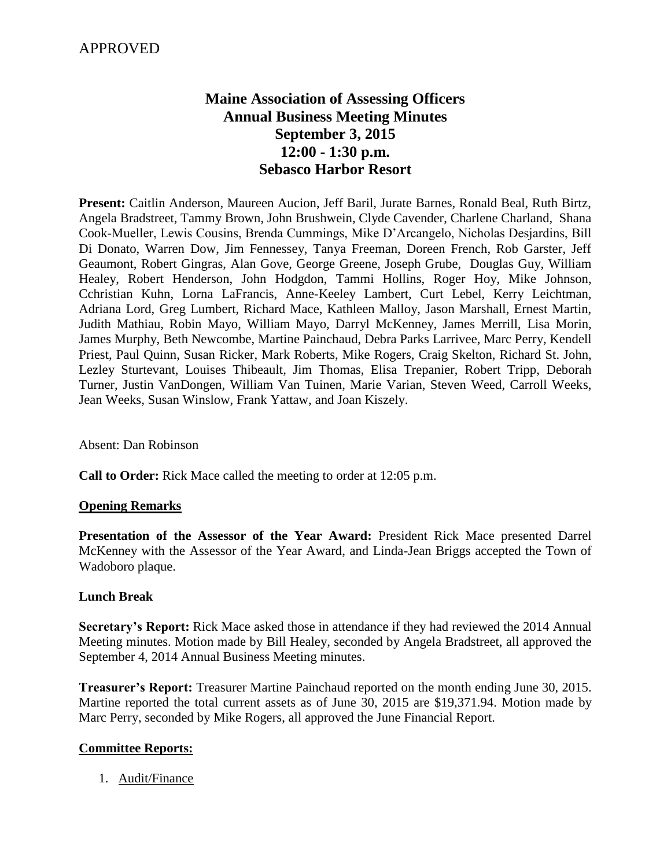# **Maine Association of Assessing Officers Annual Business Meeting Minutes September 3, 2015 12:00 - 1:30 p.m. Sebasco Harbor Resort**

**Present:** Caitlin Anderson, Maureen Aucion, Jeff Baril, Jurate Barnes, Ronald Beal, Ruth Birtz, Angela Bradstreet, Tammy Brown, John Brushwein, Clyde Cavender, Charlene Charland, Shana Cook-Mueller, Lewis Cousins, Brenda Cummings, Mike D'Arcangelo, Nicholas Desjardins, Bill Di Donato, Warren Dow, Jim Fennessey, Tanya Freeman, Doreen French, Rob Garster, Jeff Geaumont, Robert Gingras, Alan Gove, George Greene, Joseph Grube, Douglas Guy, William Healey, Robert Henderson, John Hodgdon, Tammi Hollins, Roger Hoy, Mike Johnson, Cchristian Kuhn, Lorna LaFrancis, Anne-Keeley Lambert, Curt Lebel, Kerry Leichtman, Adriana Lord, Greg Lumbert, Richard Mace, Kathleen Malloy, Jason Marshall, Ernest Martin, Judith Mathiau, Robin Mayo, William Mayo, Darryl McKenney, James Merrill, Lisa Morin, James Murphy, Beth Newcombe, Martine Painchaud, Debra Parks Larrivee, Marc Perry, Kendell Priest, Paul Quinn, Susan Ricker, Mark Roberts, Mike Rogers, Craig Skelton, Richard St. John, Lezley Sturtevant, Louises Thibeault, Jim Thomas, Elisa Trepanier, Robert Tripp, Deborah Turner, Justin VanDongen, William Van Tuinen, Marie Varian, Steven Weed, Carroll Weeks, Jean Weeks, Susan Winslow, Frank Yattaw, and Joan Kiszely.

Absent: Dan Robinson

**Call to Order:** Rick Mace called the meeting to order at 12:05 p.m.

### **Opening Remarks**

**Presentation of the Assessor of the Year Award:** President Rick Mace presented Darrel McKenney with the Assessor of the Year Award, and Linda-Jean Briggs accepted the Town of Wadoboro plaque.

### **Lunch Break**

**Secretary's Report:** Rick Mace asked those in attendance if they had reviewed the 2014 Annual Meeting minutes. Motion made by Bill Healey, seconded by Angela Bradstreet, all approved the September 4, 2014 Annual Business Meeting minutes.

**Treasurer's Report:** Treasurer Martine Painchaud reported on the month ending June 30, 2015. Martine reported the total current assets as of June 30, 2015 are \$19,371.94. Motion made by Marc Perry, seconded by Mike Rogers, all approved the June Financial Report.

### **Committee Reports:**

1. Audit/Finance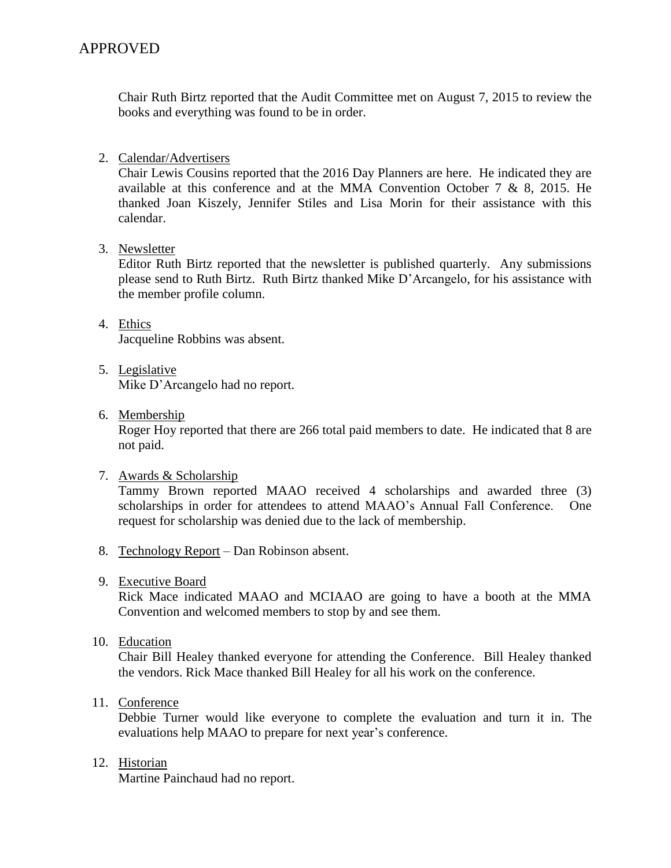Chair Ruth Birtz reported that the Audit Committee met on August 7, 2015 to review the books and everything was found to be in order.

## 2. Calendar/Advertisers

Chair Lewis Cousins reported that the 2016 Day Planners are here. He indicated they are available at this conference and at the MMA Convention October 7  $\&$  8, 2015. He thanked Joan Kiszely, Jennifer Stiles and Lisa Morin for their assistance with this calendar.

## 3. Newsletter

Editor Ruth Birtz reported that the newsletter is published quarterly. Any submissions please send to Ruth Birtz. Ruth Birtz thanked Mike D'Arcangelo, for his assistance with the member profile column.

- 4. Ethics Jacqueline Robbins was absent.
- 5. Legislative Mike D'Arcangelo had no report.
- 6. Membership

Roger Hoy reported that there are 266 total paid members to date. He indicated that 8 are not paid.

7. Awards & Scholarship

Tammy Brown reported MAAO received 4 scholarships and awarded three (3) scholarships in order for attendees to attend MAAO's Annual Fall Conference. One request for scholarship was denied due to the lack of membership.

- 8. Technology Report Dan Robinson absent.
- 9. Executive Board

Rick Mace indicated MAAO and MCIAAO are going to have a booth at the MMA Convention and welcomed members to stop by and see them.

10. Education

Chair Bill Healey thanked everyone for attending the Conference. Bill Healey thanked the vendors. Rick Mace thanked Bill Healey for all his work on the conference.

11. Conference

Debbie Turner would like everyone to complete the evaluation and turn it in. The evaluations help MAAO to prepare for next year's conference.

12. Historian

Martine Painchaud had no report.